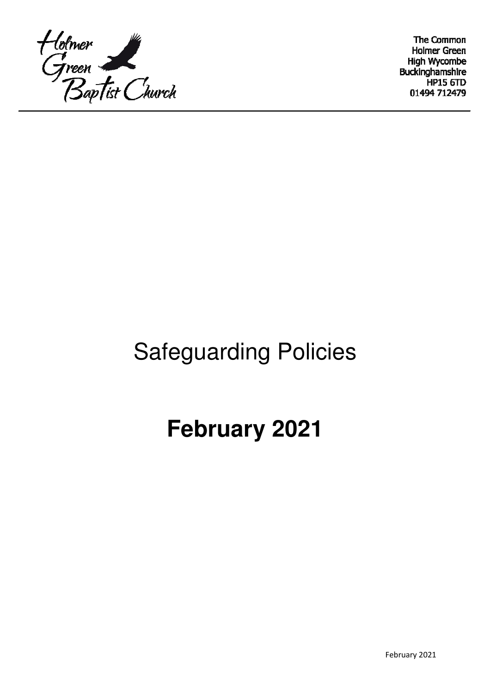

The Common **Holmer Green High Wycombe** Buckinghamshire **HP15 6TD** 01494 712479

# Safeguarding Policies

# **February 2021**

February 2021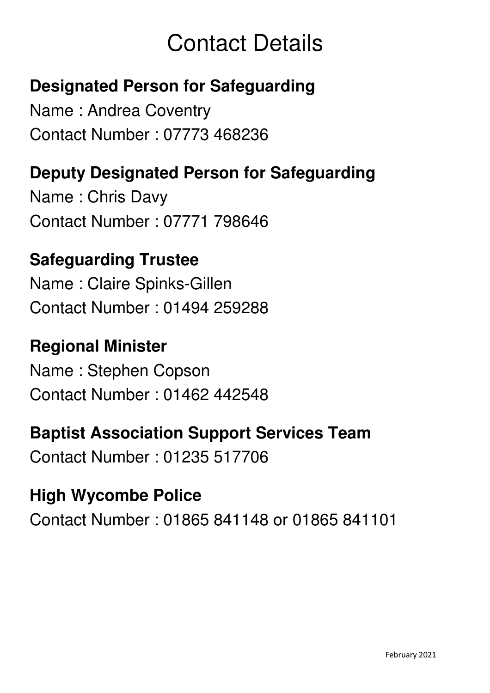# Contact Details

## **Designated Person for Safeguarding**

Name : Andrea Coventry Contact Number : 07773 468236

## **Deputy Designated Person for Safeguarding**

Name : Chris Davy Contact Number : 07771 798646

## **Safeguarding Trustee**

Name : Claire Spinks-Gillen Contact Number : 01494 259288

## **Regional Minister**

Name : Stephen Copson Contact Number : 01462 442548

## **Baptist Association Support Services Team**

Contact Number : 01235 517706

## **High Wycombe Police**

Contact Number : 01865 841148 or 01865 841101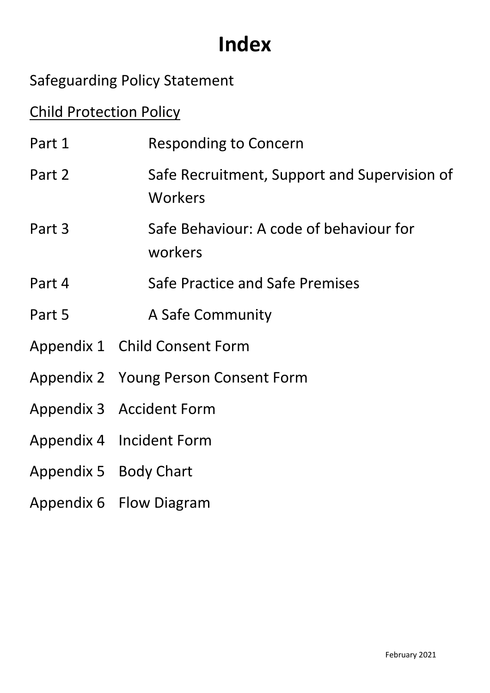# **Index**

## Safeguarding Policy Statement

## Child Protection Policy

| Part 1                | <b>Responding to Concern</b>                            |
|-----------------------|---------------------------------------------------------|
| Part 2                | Safe Recruitment, Support and Supervision of<br>Workers |
| Part 3                | Safe Behaviour: A code of behaviour for<br>workers      |
| Part 4                | Safe Practice and Safe Premises                         |
| Part 5                | A Safe Community                                        |
|                       | Appendix 1 Child Consent Form                           |
|                       | Appendix 2 Young Person Consent Form                    |
|                       | Appendix 3 Accident Form                                |
|                       | Appendix 4 Incident Form                                |
| Appendix 5 Body Chart |                                                         |
|                       | Appendix 6 Flow Diagram                                 |
|                       |                                                         |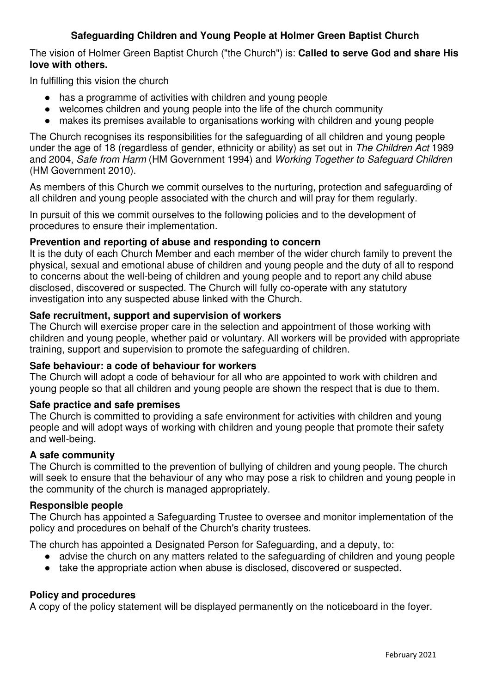## **Safeguarding Children and Young People at Holmer Green Baptist Church**

The vision of Holmer Green Baptist Church ("the Church") is: **Called to serve God and share His love with others.**

In fulfilling this vision the church

- has a programme of activities with children and young people
- welcomes children and young people into the life of the church community
- makes its premises available to organisations working with children and young people

The Church recognises its responsibilities for the safeguarding of all children and young people under the age of 18 (regardless of gender, ethnicity or ability) as set out in The Children Act 1989 and 2004, Safe from Harm (HM Government 1994) and Working Together to Safeguard Children (HM Government 2010).

As members of this Church we commit ourselves to the nurturing, protection and safeguarding of all children and young people associated with the church and will pray for them regularly.

In pursuit of this we commit ourselves to the following policies and to the development of procedures to ensure their implementation.

## **Prevention and reporting of abuse and responding to concern**

It is the duty of each Church Member and each member of the wider church family to prevent the physical, sexual and emotional abuse of children and young people and the duty of all to respond to concerns about the well-being of children and young people and to report any child abuse disclosed, discovered or suspected. The Church will fully co-operate with any statutory investigation into any suspected abuse linked with the Church.

## **Safe recruitment, support and supervision of workers**

The Church will exercise proper care in the selection and appointment of those working with children and young people, whether paid or voluntary. All workers will be provided with appropriate training, support and supervision to promote the safeguarding of children.

## **Safe behaviour: a code of behaviour for workers**

The Church will adopt a code of behaviour for all who are appointed to work with children and young people so that all children and young people are shown the respect that is due to them.

## **Safe practice and safe premises**

The Church is committed to providing a safe environment for activities with children and young people and will adopt ways of working with children and young people that promote their safety and well-being.

## **A safe community**

The Church is committed to the prevention of bullying of children and young people. The church will seek to ensure that the behaviour of any who may pose a risk to children and young people in the community of the church is managed appropriately.

#### **Responsible people**

The Church has appointed a Safeguarding Trustee to oversee and monitor implementation of the policy and procedures on behalf of the Church's charity trustees.

The church has appointed a Designated Person for Safeguarding, and a deputy, to:

- advise the church on any matters related to the safeguarding of children and young people
- take the appropriate action when abuse is disclosed, discovered or suspected.

## **Policy and procedures**

A copy of the policy statement will be displayed permanently on the noticeboard in the foyer.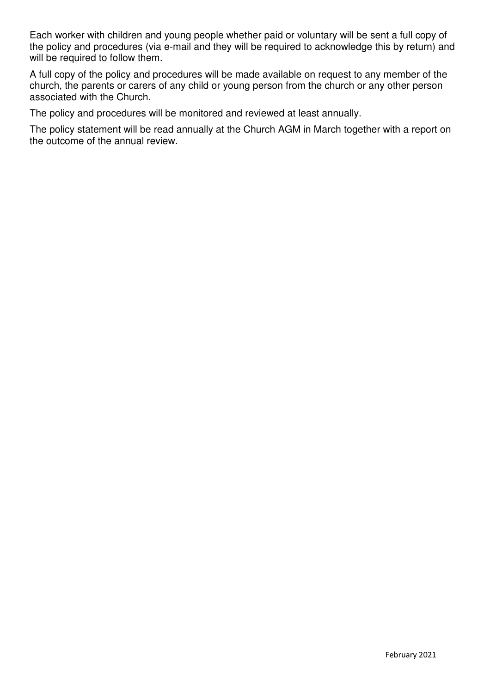Each worker with children and young people whether paid or voluntary will be sent a full copy of the policy and procedures (via e-mail and they will be required to acknowledge this by return) and will be required to follow them.

A full copy of the policy and procedures will be made available on request to any member of the church, the parents or carers of any child or young person from the church or any other person associated with the Church.

The policy and procedures will be monitored and reviewed at least annually.

The policy statement will be read annually at the Church AGM in March together with a report on the outcome of the annual review.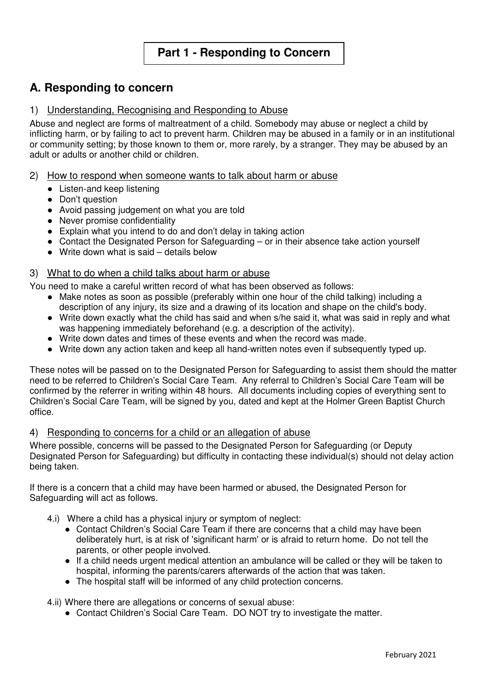## **A. Responding to concern**

## 1) Understanding, Recognising and Responding to Abuse

Abuse and neglect are forms of maltreatment of a child. Somebody may abuse or neglect a child by inflicting harm, or by failing to act to prevent harm. Children may be abused in a family or in an institutional or community setting; by those known to them or, more rarely, by a stranger. They may be abused by an adult or adults or another child or children.

#### 2) How to respond when someone wants to talk about harm or abuse

- Listen-and keep listening
- Don't question
- Avoid passing judgement on what you are told
- Never promise confidentiality
- Explain what you intend to do and don't delay in taking action
- Contact the Designated Person for Safeguarding or in their absence take action yourself
- Write down what is said details below

#### 3) What to do when a child talks about harm or abuse

- You need to make a careful written record of what has been observed as follows:
	- Make notes as soon as possible (preferably within one hour of the child talking) including a description of any injury, its size and a drawing of its location and shape on the child's body.
	- Write down exactly what the child has said and when s/he said it, what was said in reply and what was happening immediately beforehand (e.g. a description of the activity).
	- Write down dates and times of these events and when the record was made.
	- Write down any action taken and keep all hand-written notes even if subsequently typed up.

These notes will be passed on to the Designated Person for Safeguarding to assist them should the matter need to be referred to Children's Social Care Team. Any referral to Children's Social Care Team will be confirmed by the referrer in writing within 48 hours. All documents including copies of everything sent to Children's Social Care Team, will be signed by you, dated and kept at the Holmer Green Baptist Church office.

#### 4) Responding to concerns for a child or an allegation of abuse

Where possible, concerns will be passed to the Designated Person for Safeguarding (or Deputy Designated Person for Safeguarding) but difficulty in contacting these individual(s) should not delay action being taken.

If there is a concern that a child may have been harmed or abused, the Designated Person for Safeguarding will act as follows.

- 4.i) Where a child has a physical injury or symptom of neglect:
	- Contact Children's Social Care Team if there are concerns that a child may have been deliberately hurt, is at risk of 'significant harm' or is afraid to return home. Do not tell the parents, or other people involved.
	- If a child needs urgent medical attention an ambulance will be called or they will be taken to hospital, informing the parents/carers afterwards of the action that was taken.
	- The hospital staff will be informed of any child protection concerns.

4.ii) Where there are allegations or concerns of sexual abuse:

● Contact Children's Social Care Team. DO NOT try to investigate the matter.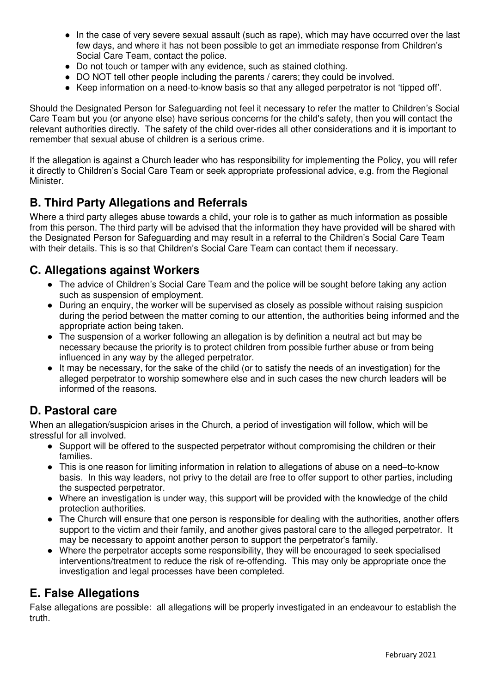- In the case of very severe sexual assault (such as rape), which may have occurred over the last few days, and where it has not been possible to get an immediate response from Children's Social Care Team, contact the police.
- Do not touch or tamper with any evidence, such as stained clothing.
- DO NOT tell other people including the parents / carers; they could be involved.
- Keep information on a need-to-know basis so that any alleged perpetrator is not 'tipped off'.

Should the Designated Person for Safeguarding not feel it necessary to refer the matter to Children's Social Care Team but you (or anyone else) have serious concerns for the child's safety, then you will contact the relevant authorities directly. The safety of the child over-rides all other considerations and it is important to remember that sexual abuse of children is a serious crime.

If the allegation is against a Church leader who has responsibility for implementing the Policy, you will refer it directly to Children's Social Care Team or seek appropriate professional advice, e.g. from the Regional Minister.

## **B. Third Party Allegations and Referrals**

Where a third party alleges abuse towards a child, your role is to gather as much information as possible from this person. The third party will be advised that the information they have provided will be shared with the Designated Person for Safeguarding and may result in a referral to the Children's Social Care Team with their details. This is so that Children's Social Care Team can contact them if necessary.

## **C. Allegations against Workers**

- The advice of Children's Social Care Team and the police will be sought before taking any action such as suspension of employment.
- During an enquiry, the worker will be supervised as closely as possible without raising suspicion during the period between the matter coming to our attention, the authorities being informed and the appropriate action being taken.
- The suspension of a worker following an allegation is by definition a neutral act but may be necessary because the priority is to protect children from possible further abuse or from being influenced in any way by the alleged perpetrator.
- It may be necessary, for the sake of the child (or to satisfy the needs of an investigation) for the alleged perpetrator to worship somewhere else and in such cases the new church leaders will be informed of the reasons.

## **D. Pastoral care**

When an allegation/suspicion arises in the Church, a period of investigation will follow, which will be stressful for all involved.

- Support will be offered to the suspected perpetrator without compromising the children or their families.
- This is one reason for limiting information in relation to allegations of abuse on a need–to-know basis. In this way leaders, not privy to the detail are free to offer support to other parties, including the suspected perpetrator.
- Where an investigation is under way, this support will be provided with the knowledge of the child protection authorities.
- The Church will ensure that one person is responsible for dealing with the authorities, another offers support to the victim and their family, and another gives pastoral care to the alleged perpetrator. It may be necessary to appoint another person to support the perpetrator's family.
- Where the perpetrator accepts some responsibility, they will be encouraged to seek specialised interventions/treatment to reduce the risk of re-offending. This may only be appropriate once the investigation and legal processes have been completed.

## **E. False Allegations**

False allegations are possible: all allegations will be properly investigated in an endeavour to establish the truth.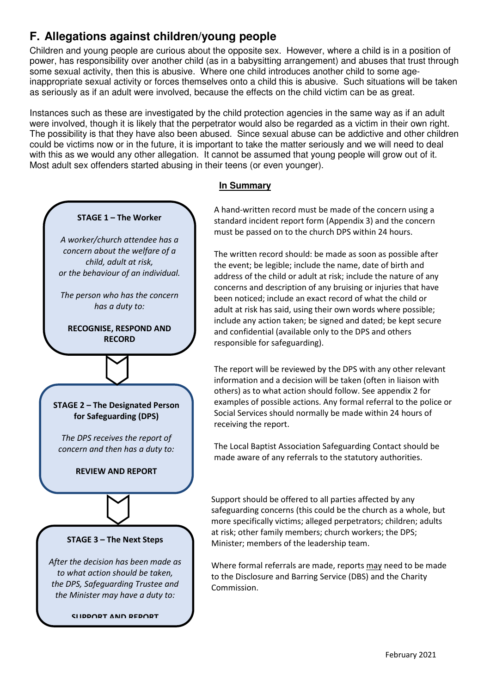## **F. Allegations against children/young people**

Children and young people are curious about the opposite sex. However, where a child is in a position of power, has responsibility over another child (as in a babysitting arrangement) and abuses that trust through some sexual activity, then this is abusive. Where one child introduces another child to some ageinappropriate sexual activity or forces themselves onto a child this is abusive. Such situations will be taken as seriously as if an adult were involved, because the effects on the child victim can be as great.

Instances such as these are investigated by the child protection agencies in the same way as if an adult were involved, though it is likely that the perpetrator would also be regarded as a victim in their own right. The possibility is that they have also been abused. Since sexual abuse can be addictive and other children could be victims now or in the future, it is important to take the matter seriously and we will need to deal with this as we would any other allegation. It cannot be assumed that young people will grow out of it. Most adult sex offenders started abusing in their teens (or even younger).

#### **In Summary**

A hand-written record must be made of the concern using a standard incident report form (Appendix 3) and the concern must be passed on to the church DPS within 24 hours.

The written record should: be made as soon as possible after the event; be legible; include the name, date of birth and address of the child or adult at risk; include the nature of any concerns and description of any bruising or injuries that have been noticed; include an exact record of what the child or adult at risk has said, using their own words where possible; include any action taken; be signed and dated; be kept secure and confidential (available only to the DPS and others responsible for safeguarding).

The report will be reviewed by the DPS with any other relevant information and a decision will be taken (often in liaison with others) as to what action should follow. See appendix 2 for examples of possible actions. Any formal referral to the police or Social Services should normally be made within 24 hours of receiving the report.

The Local Baptist Association Safeguarding Contact should be made aware of any referrals to the statutory authorities.

Support should be offered to all parties affected by any safeguarding concerns (this could be the church as a whole, but more specifically victims; alleged perpetrators; children; adults at risk; other family members; church workers; the DPS; Minister; members of the leadership team.

Where formal referrals are made, reports may need to be made to the Disclosure and Barring Service (DBS) and the Charity Commission.

**STAGE 2 – The Designated Person for Safeguarding (DPS)** *The DPS receives the report of concern and then has a duty to:* **REVIEW AND REPORT**

**STAGE 1 – The Worker**

*A worker/church attendee has a concern about the welfare of a child, adult at risk, or the behaviour of an individual.*

*The person who has the concern has a duty to:* 

**RECOGNISE, RESPOND AND RECORD**

#### **STAGE 3 – The Next Steps**

*After the decision has been made as to what action should be taken, the DPS, Safeguarding Trustee and the Minister may have a duty to:* 

**SUPPORT AND REPORT**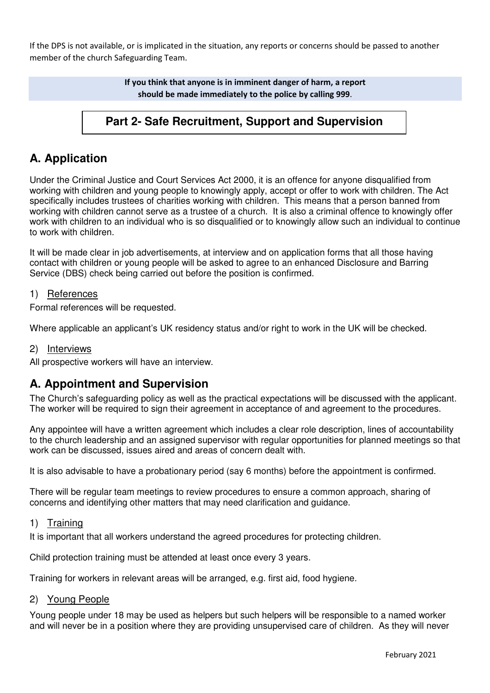If the DPS is not available, or is implicated in the situation, any reports or concerns should be passed to another member of the church Safeguarding Team.

> **If you think that anyone is in imminent danger of harm, a report should be made immediately to the police by calling 999**.

## **Part 2- Safe Recruitment, Support and Supervision**

## **A. Application**

Under the Criminal Justice and Court Services Act 2000, it is an offence for anyone disqualified from working with children and young people to knowingly apply, accept or offer to work with children. The Act specifically includes trustees of charities working with children. This means that a person banned from working with children cannot serve as a trustee of a church. It is also a criminal offence to knowingly offer work with children to an individual who is so disqualified or to knowingly allow such an individual to continue to work with children.

It will be made clear in job advertisements, at interview and on application forms that all those having contact with children or young people will be asked to agree to an enhanced Disclosure and Barring Service (DBS) check being carried out before the position is confirmed.

#### 1) References

Formal references will be requested.

Where applicable an applicant's UK residency status and/or right to work in the UK will be checked.

#### 2) Interviews

All prospective workers will have an interview.

## **A. Appointment and Supervision**

The Church's safeguarding policy as well as the practical expectations will be discussed with the applicant. The worker will be required to sign their agreement in acceptance of and agreement to the procedures.

Any appointee will have a written agreement which includes a clear role description, lines of accountability to the church leadership and an assigned supervisor with regular opportunities for planned meetings so that work can be discussed, issues aired and areas of concern dealt with.

It is also advisable to have a probationary period (say 6 months) before the appointment is confirmed.

There will be regular team meetings to review procedures to ensure a common approach, sharing of concerns and identifying other matters that may need clarification and guidance.

#### 1) Training

It is important that all workers understand the agreed procedures for protecting children.

Child protection training must be attended at least once every 3 years.

Training for workers in relevant areas will be arranged, e.g. first aid, food hygiene.

#### 2) Young People

Young people under 18 may be used as helpers but such helpers will be responsible to a named worker and will never be in a position where they are providing unsupervised care of children. As they will never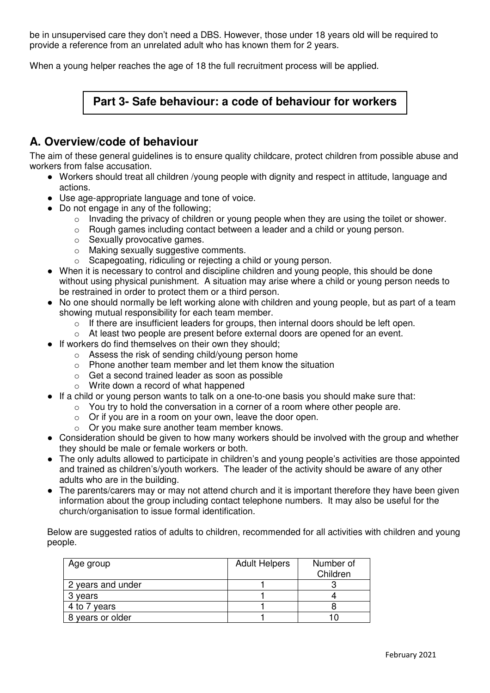be in unsupervised care they don't need a DBS. However, those under 18 years old will be required to provide a reference from an unrelated adult who has known them for 2 years.

When a young helper reaches the age of 18 the full recruitment process will be applied.

## **Part 3- Safe behaviour: a code of behaviour for workers**

## **A. Overview/code of behaviour**

The aim of these general guidelines is to ensure quality childcare, protect children from possible abuse and workers from false accusation.

- Workers should treat all children /young people with dignity and respect in attitude, language and actions.
- Use age-appropriate language and tone of voice.
- Do not engage in any of the following;
	- o Invading the privacy of children or young people when they are using the toilet or shower.
	- o Rough games including contact between a leader and a child or young person.
	- o Sexually provocative games.
	- o Making sexually suggestive comments.
	- o Scapegoating, ridiculing or rejecting a child or young person.
- When it is necessary to control and discipline children and young people, this should be done without using physical punishment. A situation may arise where a child or young person needs to be restrained in order to protect them or a third person.
- No one should normally be left working alone with children and young people, but as part of a team showing mutual responsibility for each team member.
	- o If there are insufficient leaders for groups, then internal doors should be left open.
	- $\circ$  At least two people are present before external doors are opened for an event.
- If workers do find themselves on their own they should;
	- o Assess the risk of sending child/young person home
	- o Phone another team member and let them know the situation
	- o Get a second trained leader as soon as possible
	- o Write down a record of what happened
- If a child or young person wants to talk on a one-to-one basis you should make sure that:
	- o You try to hold the conversation in a corner of a room where other people are.
	- $\circ$  Or if you are in a room on your own, leave the door open.
	- o Or you make sure another team member knows.
- Consideration should be given to how many workers should be involved with the group and whether they should be male or female workers or both.
- The only adults allowed to participate in children's and young people's activities are those appointed and trained as children's/youth workers. The leader of the activity should be aware of any other adults who are in the building.
- The parents/carers may or may not attend church and it is important therefore they have been given information about the group including contact telephone numbers. It may also be useful for the church/organisation to issue formal identification.

Below are suggested ratios of adults to children, recommended for all activities with children and young people.

| Age group         | <b>Adult Helpers</b> | Number of<br>Children |
|-------------------|----------------------|-----------------------|
| 2 years and under |                      |                       |
| 3 years           |                      |                       |
| 4 to 7 years      |                      |                       |
| 8 years or older  |                      |                       |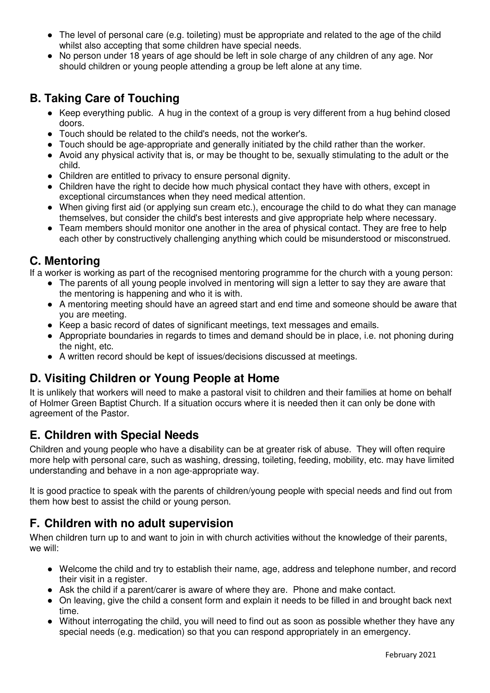- The level of personal care (e.g. toileting) must be appropriate and related to the age of the child whilst also accepting that some children have special needs.
- No person under 18 years of age should be left in sole charge of any children of any age. Nor should children or young people attending a group be left alone at any time.

## **B. Taking Care of Touching**

- Keep everything public. A hug in the context of a group is very different from a hug behind closed doors.
- Touch should be related to the child's needs, not the worker's.
- Touch should be age-appropriate and generally initiated by the child rather than the worker.
- Avoid any physical activity that is, or may be thought to be, sexually stimulating to the adult or the child.
- Children are entitled to privacy to ensure personal dignity.
- Children have the right to decide how much physical contact they have with others, except in exceptional circumstances when they need medical attention.
- When giving first aid (or applying sun cream etc.), encourage the child to do what they can manage themselves, but consider the child's best interests and give appropriate help where necessary.
- Team members should monitor one another in the area of physical contact. They are free to help each other by constructively challenging anything which could be misunderstood or misconstrued.

## **C. Mentoring**

If a worker is working as part of the recognised mentoring programme for the church with a young person:

- The parents of all young people involved in mentoring will sign a letter to say they are aware that the mentoring is happening and who it is with.
- A mentoring meeting should have an agreed start and end time and someone should be aware that you are meeting.
- Keep a basic record of dates of significant meetings, text messages and emails.
- Appropriate boundaries in regards to times and demand should be in place, i.e. not phoning during the night, etc.
- A written record should be kept of issues/decisions discussed at meetings.

## **D. Visiting Children or Young People at Home**

It is unlikely that workers will need to make a pastoral visit to children and their families at home on behalf of Holmer Green Baptist Church. If a situation occurs where it is needed then it can only be done with agreement of the Pastor.

## **E. Children with Special Needs**

Children and young people who have a disability can be at greater risk of abuse. They will often require more help with personal care, such as washing, dressing, toileting, feeding, mobility, etc. may have limited understanding and behave in a non age-appropriate way.

It is good practice to speak with the parents of children/young people with special needs and find out from them how best to assist the child or young person.

## **F. Children with no adult supervision**

When children turn up to and want to join in with church activities without the knowledge of their parents, we will:

- Welcome the child and try to establish their name, age, address and telephone number, and record their visit in a register.
- Ask the child if a parent/carer is aware of where they are. Phone and make contact.
- On leaving, give the child a consent form and explain it needs to be filled in and brought back next time.
- Without interrogating the child, you will need to find out as soon as possible whether they have any special needs (e.g. medication) so that you can respond appropriately in an emergency.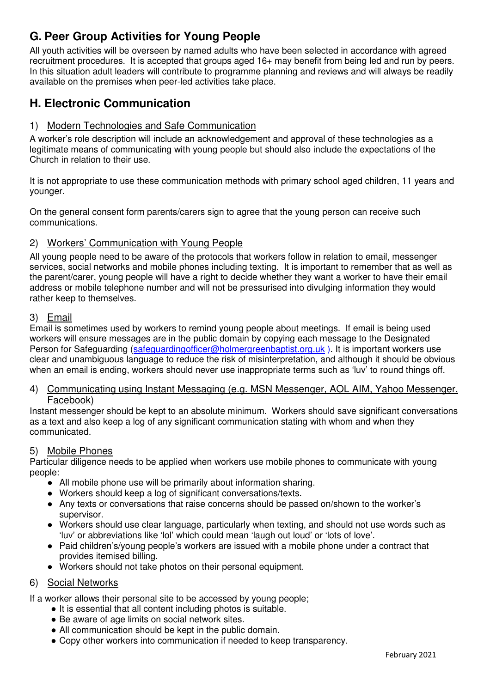## **G. Peer Group Activities for Young People**

All youth activities will be overseen by named adults who have been selected in accordance with agreed recruitment procedures. It is accepted that groups aged 16+ may benefit from being led and run by peers. In this situation adult leaders will contribute to programme planning and reviews and will always be readily available on the premises when peer-led activities take place.

## **H. Electronic Communication**

## 1) Modern Technologies and Safe Communication

A worker's role description will include an acknowledgement and approval of these technologies as a legitimate means of communicating with young people but should also include the expectations of the Church in relation to their use.

It is not appropriate to use these communication methods with primary school aged children, 11 years and younger.

On the general consent form parents/carers sign to agree that the young person can receive such communications.

## 2) Workers' Communication with Young People

All young people need to be aware of the protocols that workers follow in relation to email, messenger services, social networks and mobile phones including texting. It is important to remember that as well as the parent/carer, young people will have a right to decide whether they want a worker to have their email address or mobile telephone number and will not be pressurised into divulging information they would rather keep to themselves.

## 3) Email

Email is sometimes used by workers to remind young people about meetings. If email is being used workers will ensure messages are in the public domain by copying each message to the Designated Person for Safeguarding (safeguardingofficer@holmergreenbaptist.org.uk). It is important workers use clear and unambiguous language to reduce the risk of misinterpretation, and although it should be obvious when an email is ending, workers should never use inappropriate terms such as 'luv' to round things off.

#### 4) Communicating using Instant Messaging (e.g. MSN Messenger, AOL AIM, Yahoo Messenger, Facebook)

Instant messenger should be kept to an absolute minimum. Workers should save significant conversations as a text and also keep a log of any significant communication stating with whom and when they communicated.

## 5) Mobile Phones

Particular diligence needs to be applied when workers use mobile phones to communicate with young people:

- All mobile phone use will be primarily about information sharing.
- Workers should keep a log of significant conversations/texts.
- Any texts or conversations that raise concerns should be passed on/shown to the worker's supervisor.
- Workers should use clear language, particularly when texting, and should not use words such as 'luv' or abbreviations like 'lol' which could mean 'laugh out loud' or 'lots of love'.
- Paid children's/young people's workers are issued with a mobile phone under a contract that provides itemised billing.
- Workers should not take photos on their personal equipment.

## 6) Social Networks

If a worker allows their personal site to be accessed by young people;

- It is essential that all content including photos is suitable.
- Be aware of age limits on social network sites.
- All communication should be kept in the public domain.
- Copy other workers into communication if needed to keep transparency.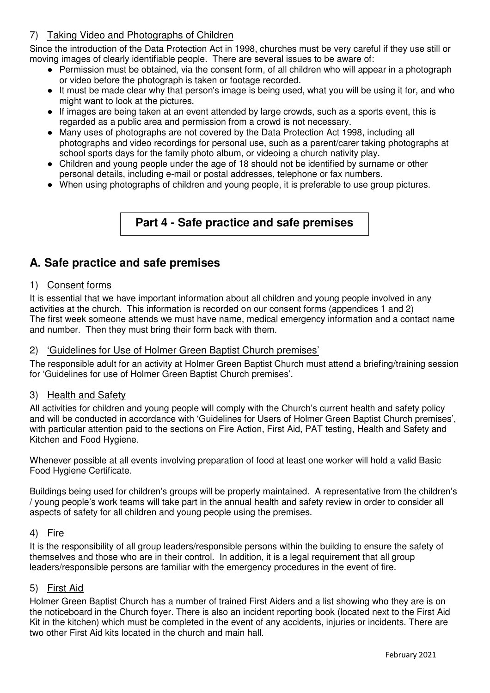## 7) Taking Video and Photographs of Children

Since the introduction of the Data Protection Act in 1998, churches must be very careful if they use still or moving images of clearly identifiable people. There are several issues to be aware of:

- Permission must be obtained, via the consent form, of all children who will appear in a photograph or video before the photograph is taken or footage recorded.
- It must be made clear why that person's image is being used, what you will be using it for, and who might want to look at the pictures.
- If images are being taken at an event attended by large crowds, such as a sports event, this is regarded as a public area and permission from a crowd is not necessary.
- Many uses of photographs are not covered by the Data Protection Act 1998, including all photographs and video recordings for personal use, such as a parent/carer taking photographs at school sports days for the family photo album, or videoing a church nativity play.
- Children and young people under the age of 18 should not be identified by surname or other personal details, including e-mail or postal addresses, telephone or fax numbers.
- When using photographs of children and young people, it is preferable to use group pictures.

## **Part 4 - Safe practice and safe premises**

## **A. Safe practice and safe premises**

## 1) Consent forms

It is essential that we have important information about all children and young people involved in any activities at the church. This information is recorded on our consent forms (appendices 1 and 2) The first week someone attends we must have name, medical emergency information and a contact name and number. Then they must bring their form back with them.

### 2) 'Guidelines for Use of Holmer Green Baptist Church premises'

The responsible adult for an activity at Holmer Green Baptist Church must attend a briefing/training session for 'Guidelines for use of Holmer Green Baptist Church premises'.

#### 3) Health and Safety

All activities for children and young people will comply with the Church's current health and safety policy and will be conducted in accordance with 'Guidelines for Users of Holmer Green Baptist Church premises', with particular attention paid to the sections on Fire Action, First Aid, PAT testing, Health and Safety and Kitchen and Food Hygiene.

Whenever possible at all events involving preparation of food at least one worker will hold a valid Basic Food Hygiene Certificate.

Buildings being used for children's groups will be properly maintained. A representative from the children's / young people's work teams will take part in the annual health and safety review in order to consider all aspects of safety for all children and young people using the premises.

#### 4) Fire

It is the responsibility of all group leaders/responsible persons within the building to ensure the safety of themselves and those who are in their control. In addition, it is a legal requirement that all group leaders/responsible persons are familiar with the emergency procedures in the event of fire.

## 5) First Aid

Holmer Green Baptist Church has a number of trained First Aiders and a list showing who they are is on the noticeboard in the Church foyer. There is also an incident reporting book (located next to the First Aid Kit in the kitchen) which must be completed in the event of any accidents, injuries or incidents. There are two other First Aid kits located in the church and main hall.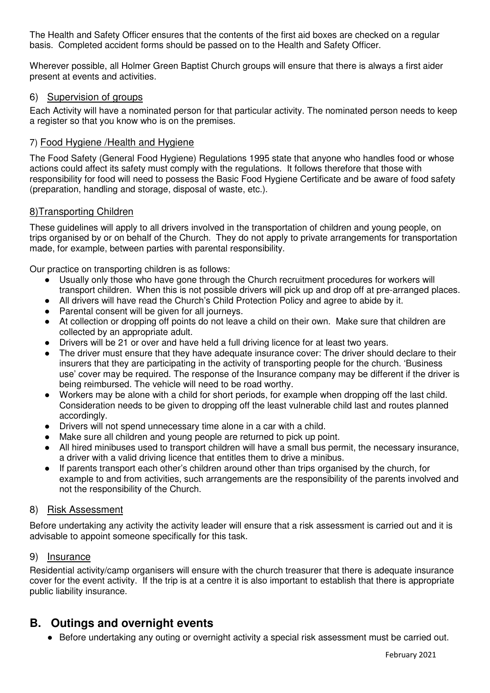The Health and Safety Officer ensures that the contents of the first aid boxes are checked on a regular basis. Completed accident forms should be passed on to the Health and Safety Officer.

Wherever possible, all Holmer Green Baptist Church groups will ensure that there is always a first aider present at events and activities.

### 6) Supervision of groups

Each Activity will have a nominated person for that particular activity. The nominated person needs to keep a register so that you know who is on the premises.

#### 7) Food Hygiene /Health and Hygiene

The Food Safety (General Food Hygiene) Regulations 1995 state that anyone who handles food or whose actions could affect its safety must comply with the regulations. It follows therefore that those with responsibility for food will need to possess the Basic Food Hygiene Certificate and be aware of food safety (preparation, handling and storage, disposal of waste, etc.).

#### 8)Transporting Children

These guidelines will apply to all drivers involved in the transportation of children and young people, on trips organised by or on behalf of the Church. They do not apply to private arrangements for transportation made, for example, between parties with parental responsibility.

Our practice on transporting children is as follows:

- Usually only those who have gone through the Church recruitment procedures for workers will transport children. When this is not possible drivers will pick up and drop off at pre-arranged places.
- All drivers will have read the Church's Child Protection Policy and agree to abide by it.
- Parental consent will be given for all journeys.
- At collection or dropping off points do not leave a child on their own. Make sure that children are collected by an appropriate adult.
- Drivers will be 21 or over and have held a full driving licence for at least two years.
- The driver must ensure that they have adequate insurance cover: The driver should declare to their insurers that they are participating in the activity of transporting people for the church. 'Business use' cover may be required. The response of the Insurance company may be different if the driver is being reimbursed. The vehicle will need to be road worthy.
- Workers may be alone with a child for short periods, for example when dropping off the last child. Consideration needs to be given to dropping off the least vulnerable child last and routes planned accordingly.
- Drivers will not spend unnecessary time alone in a car with a child.
- Make sure all children and young people are returned to pick up point.
- All hired minibuses used to transport children will have a small bus permit, the necessary insurance, a driver with a valid driving licence that entitles them to drive a minibus.
- If parents transport each other's children around other than trips organised by the church, for example to and from activities, such arrangements are the responsibility of the parents involved and not the responsibility of the Church.

#### 8) Risk Assessment

Before undertaking any activity the activity leader will ensure that a risk assessment is carried out and it is advisable to appoint someone specifically for this task.

#### 9) Insurance

Residential activity/camp organisers will ensure with the church treasurer that there is adequate insurance cover for the event activity. If the trip is at a centre it is also important to establish that there is appropriate public liability insurance.

## **B. Outings and overnight events**

● Before undertaking any outing or overnight activity a special risk assessment must be carried out.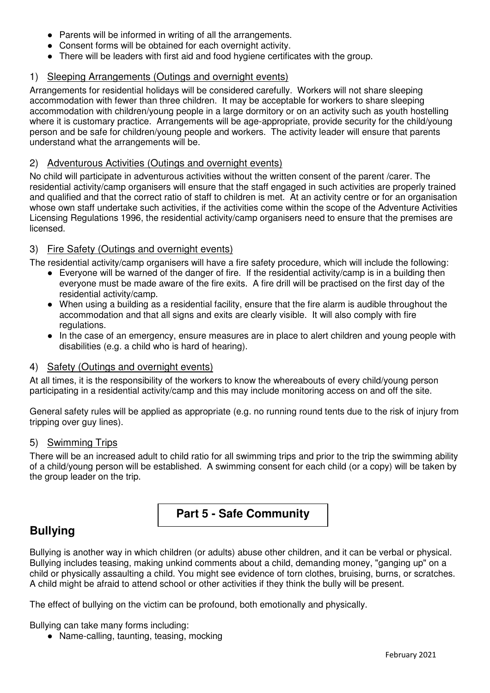- Parents will be informed in writing of all the arrangements.
- Consent forms will be obtained for each overnight activity.
- There will be leaders with first aid and food hygiene certificates with the group.

### 1) Sleeping Arrangements (Outings and overnight events)

Arrangements for residential holidays will be considered carefully. Workers will not share sleeping accommodation with fewer than three children. It may be acceptable for workers to share sleeping accommodation with children/young people in a large dormitory or on an activity such as youth hostelling where it is customary practice. Arrangements will be age-appropriate, provide security for the child/young person and be safe for children/young people and workers. The activity leader will ensure that parents understand what the arrangements will be.

#### 2) Adventurous Activities (Outings and overnight events)

No child will participate in adventurous activities without the written consent of the parent /carer. The residential activity/camp organisers will ensure that the staff engaged in such activities are properly trained and qualified and that the correct ratio of staff to children is met. At an activity centre or for an organisation whose own staff undertake such activities, if the activities come within the scope of the Adventure Activities Licensing Regulations 1996, the residential activity/camp organisers need to ensure that the premises are licensed.

## 3) Fire Safety (Outings and overnight events)

The residential activity/camp organisers will have a fire safety procedure, which will include the following:

- Everyone will be warned of the danger of fire. If the residential activity/camp is in a building then everyone must be made aware of the fire exits. A fire drill will be practised on the first day of the residential activity/camp.
- When using a building as a residential facility, ensure that the fire alarm is audible throughout the accommodation and that all signs and exits are clearly visible. It will also comply with fire regulations.
- In the case of an emergency, ensure measures are in place to alert children and young people with disabilities (e.g. a child who is hard of hearing).

#### 4) Safety (Outings and overnight events)

At all times, it is the responsibility of the workers to know the whereabouts of every child/young person participating in a residential activity/camp and this may include monitoring access on and off the site.

General safety rules will be applied as appropriate (e.g. no running round tents due to the risk of injury from tripping over guy lines).

#### 5) Swimming Trips

There will be an increased adult to child ratio for all swimming trips and prior to the trip the swimming ability of a child/young person will be established. A swimming consent for each child (or a copy) will be taken by the group leader on the trip.

## **Part 5 - Safe Community**

## **Bullying**

Bullying is another way in which children (or adults) abuse other children, and it can be verbal or physical. Bullying includes teasing, making unkind comments about a child, demanding money, "ganging up" on a child or physically assaulting a child. You might see evidence of torn clothes, bruising, burns, or scratches. A child might be afraid to attend school or other activities if they think the bully will be present.

The effect of bullying on the victim can be profound, both emotionally and physically.

Bullying can take many forms including:

● Name-calling, taunting, teasing, mocking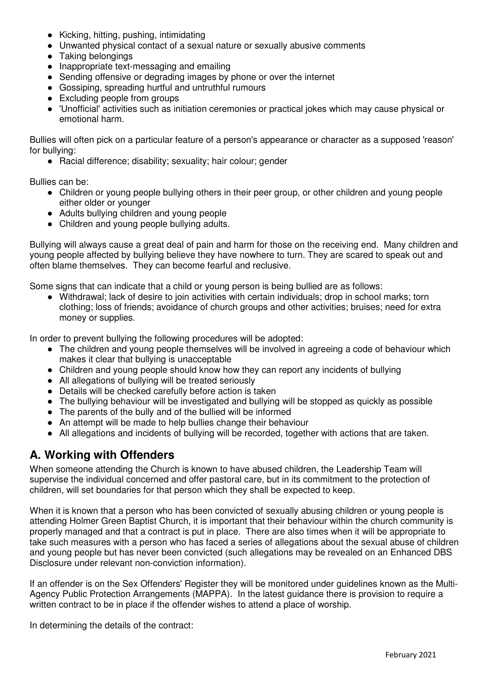- Kicking, hitting, pushing, intimidating
- Unwanted physical contact of a sexual nature or sexually abusive comments
- Taking belongings
- Inappropriate text-messaging and emailing
- Sending offensive or degrading images by phone or over the internet
- Gossiping, spreading hurtful and untruthful rumours
- Excluding people from groups
- 'Unofficial' activities such as initiation ceremonies or practical jokes which may cause physical or emotional harm.

Bullies will often pick on a particular feature of a person's appearance or character as a supposed 'reason' for bullying:

● Racial difference; disability; sexuality; hair colour; gender

Bullies can be:

- Children or young people bullying others in their peer group, or other children and young people either older or younger
- Adults bullying children and young people
- Children and young people bullying adults.

Bullying will always cause a great deal of pain and harm for those on the receiving end. Many children and young people affected by bullying believe they have nowhere to turn. They are scared to speak out and often blame themselves. They can become fearful and reclusive.

Some signs that can indicate that a child or young person is being bullied are as follows:

● Withdrawal; lack of desire to join activities with certain individuals; drop in school marks; torn clothing; loss of friends; avoidance of church groups and other activities; bruises; need for extra money or supplies.

In order to prevent bullying the following procedures will be adopted:

- The children and young people themselves will be involved in agreeing a code of behaviour which makes it clear that bullying is unacceptable
- Children and young people should know how they can report any incidents of bullying
- All allegations of bullying will be treated seriously
- Details will be checked carefully before action is taken
- The bullying behaviour will be investigated and bullying will be stopped as quickly as possible
- The parents of the bully and of the bullied will be informed
- An attempt will be made to help bullies change their behaviour
- All allegations and incidents of bullying will be recorded, together with actions that are taken.

## **A. Working with Offenders**

When someone attending the Church is known to have abused children, the Leadership Team will supervise the individual concerned and offer pastoral care, but in its commitment to the protection of children, will set boundaries for that person which they shall be expected to keep.

When it is known that a person who has been convicted of sexually abusing children or young people is attending Holmer Green Baptist Church, it is important that their behaviour within the church community is properly managed and that a contract is put in place. There are also times when it will be appropriate to take such measures with a person who has faced a series of allegations about the sexual abuse of children and young people but has never been convicted (such allegations may be revealed on an Enhanced DBS Disclosure under relevant non-conviction information).

If an offender is on the Sex Offenders' Register they will be monitored under guidelines known as the Multi-Agency Public Protection Arrangements (MAPPA). In the latest guidance there is provision to require a written contract to be in place if the offender wishes to attend a place of worship.

In determining the details of the contract: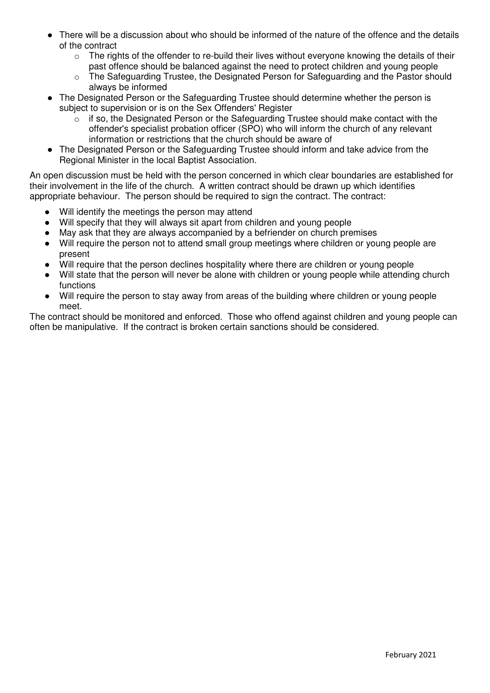- There will be a discussion about who should be informed of the nature of the offence and the details of the contract
	- $\circ$  The rights of the offender to re-build their lives without everyone knowing the details of their past offence should be balanced against the need to protect children and young people
	- o The Safeguarding Trustee, the Designated Person for Safeguarding and the Pastor should always be informed
- The Designated Person or the Safeguarding Trustee should determine whether the person is subject to supervision or is on the Sex Offenders' Register
	- $\circ$  if so, the Designated Person or the Safeguarding Trustee should make contact with the offender's specialist probation officer (SPO) who will inform the church of any relevant information or restrictions that the church should be aware of
- The Designated Person or the Safeguarding Trustee should inform and take advice from the Regional Minister in the local Baptist Association.

An open discussion must be held with the person concerned in which clear boundaries are established for their involvement in the life of the church. A written contract should be drawn up which identifies appropriate behaviour. The person should be required to sign the contract. The contract:

- Will identify the meetings the person may attend
- Will specify that they will always sit apart from children and young people
- May ask that they are always accompanied by a befriender on church premises
- Will require the person not to attend small group meetings where children or young people are present
- Will require that the person declines hospitality where there are children or young people
- Will state that the person will never be alone with children or young people while attending church functions
- Will require the person to stay away from areas of the building where children or young people meet.

The contract should be monitored and enforced. Those who offend against children and young people can often be manipulative. If the contract is broken certain sanctions should be considered.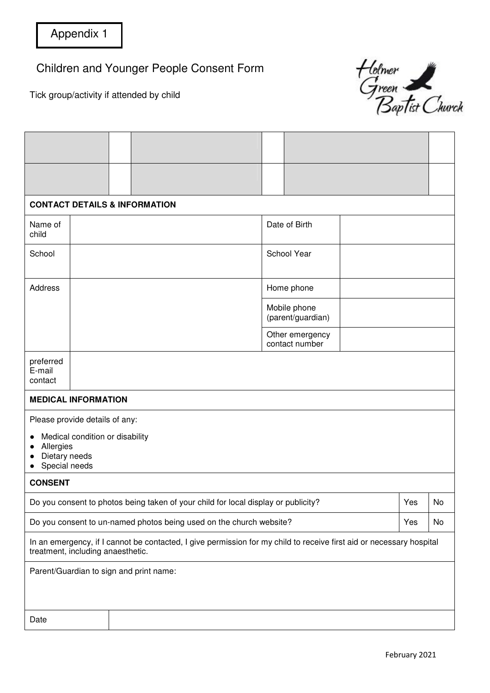Children and Younger People Consent Form

Tick group/activity if attended by child



|                                                                                                                                                           | <b>CONTACT DETAILS &amp; INFORMATION</b> |  |  |  |                                   |               |    |  |  |
|-----------------------------------------------------------------------------------------------------------------------------------------------------------|------------------------------------------|--|--|--|-----------------------------------|---------------|----|--|--|
| Name of<br>child                                                                                                                                          |                                          |  |  |  |                                   | Date of Birth |    |  |  |
| School                                                                                                                                                    |                                          |  |  |  | School Year                       |               |    |  |  |
| Address                                                                                                                                                   |                                          |  |  |  |                                   | Home phone    |    |  |  |
|                                                                                                                                                           |                                          |  |  |  | Mobile phone<br>(parent/guardian) |               |    |  |  |
|                                                                                                                                                           |                                          |  |  |  | Other emergency<br>contact number |               |    |  |  |
| preferred<br>E-mail<br>contact                                                                                                                            |                                          |  |  |  |                                   |               |    |  |  |
| <b>MEDICAL INFORMATION</b>                                                                                                                                |                                          |  |  |  |                                   |               |    |  |  |
| Please provide details of any:<br>Medical condition or disability<br>Allergies<br>Dietary needs<br>Special needs                                          |                                          |  |  |  |                                   |               |    |  |  |
| <b>CONSENT</b>                                                                                                                                            |                                          |  |  |  |                                   |               |    |  |  |
| Do you consent to photos being taken of your child for local display or publicity?                                                                        |                                          |  |  |  |                                   | Yes           | No |  |  |
| Do you consent to un-named photos being used on the church website?<br>Yes                                                                                |                                          |  |  |  |                                   | No            |    |  |  |
| In an emergency, if I cannot be contacted, I give permission for my child to receive first aid or necessary hospital<br>treatment, including anaesthetic. |                                          |  |  |  |                                   |               |    |  |  |
| Parent/Guardian to sign and print name:                                                                                                                   |                                          |  |  |  |                                   |               |    |  |  |
|                                                                                                                                                           |                                          |  |  |  |                                   |               |    |  |  |
| Date                                                                                                                                                      |                                          |  |  |  |                                   |               |    |  |  |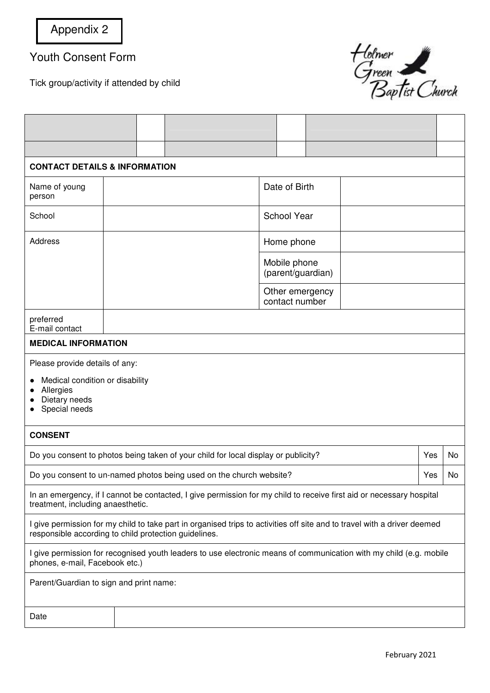Youth Consent Form

Tick group/activity if attended by child



| <b>CONTACT DETAILS &amp; INFORMATION</b>                                                                                                                                          |  |  |  |                                   |                    |                                   |    |  |  |  |
|-----------------------------------------------------------------------------------------------------------------------------------------------------------------------------------|--|--|--|-----------------------------------|--------------------|-----------------------------------|----|--|--|--|
| Name of young<br>person                                                                                                                                                           |  |  |  |                                   |                    | Date of Birth                     |    |  |  |  |
| School                                                                                                                                                                            |  |  |  |                                   | <b>School Year</b> |                                   |    |  |  |  |
| Address                                                                                                                                                                           |  |  |  |                                   | Home phone         |                                   |    |  |  |  |
|                                                                                                                                                                                   |  |  |  | Mobile phone<br>(parent/guardian) |                    |                                   |    |  |  |  |
|                                                                                                                                                                                   |  |  |  |                                   |                    | Other emergency<br>contact number |    |  |  |  |
| preferred<br>E-mail contact                                                                                                                                                       |  |  |  |                                   |                    |                                   |    |  |  |  |
| <b>MEDICAL INFORMATION</b>                                                                                                                                                        |  |  |  |                                   |                    |                                   |    |  |  |  |
| Please provide details of any:<br>Medical condition or disability<br>Allergies<br>Dietary needs<br>Special needs                                                                  |  |  |  |                                   |                    |                                   |    |  |  |  |
| <b>CONSENT</b>                                                                                                                                                                    |  |  |  |                                   |                    |                                   |    |  |  |  |
| Do you consent to photos being taken of your child for local display or publicity?                                                                                                |  |  |  |                                   |                    | Yes                               | No |  |  |  |
| Do you consent to un-named photos being used on the church website?                                                                                                               |  |  |  |                                   | Yes                | No                                |    |  |  |  |
| In an emergency, if I cannot be contacted, I give permission for my child to receive first aid or necessary hospital<br>treatment, including anaesthetic.                         |  |  |  |                                   |                    |                                   |    |  |  |  |
| I give permission for my child to take part in organised trips to activities off site and to travel with a driver deemed<br>responsible according to child protection guidelines. |  |  |  |                                   |                    |                                   |    |  |  |  |
| I give permission for recognised youth leaders to use electronic means of communication with my child (e.g. mobile<br>phones, e-mail, Facebook etc.)                              |  |  |  |                                   |                    |                                   |    |  |  |  |
| Parent/Guardian to sign and print name:                                                                                                                                           |  |  |  |                                   |                    |                                   |    |  |  |  |
| Date                                                                                                                                                                              |  |  |  |                                   |                    |                                   |    |  |  |  |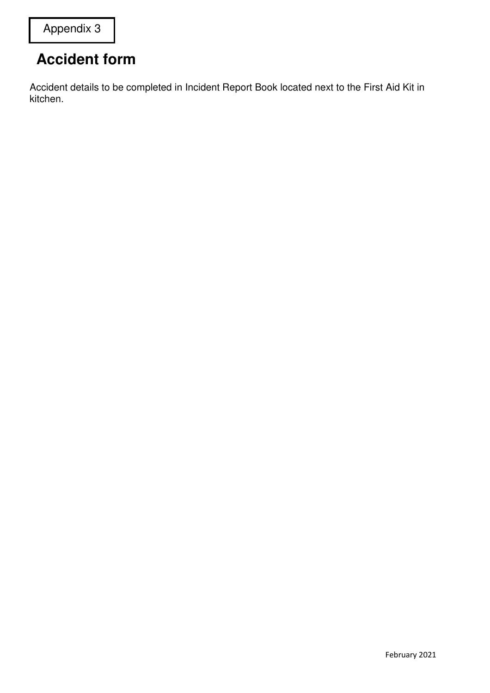## **Accident form**

Accident details to be completed in Incident Report Book located next to the First Aid Kit in kitchen.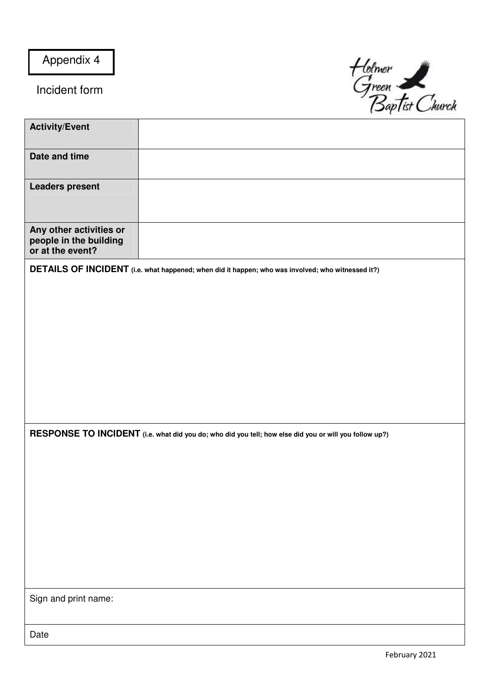Appendix 4

Incident form



| <b>Activity/Event</b>                                                 |                                                                                                        |
|-----------------------------------------------------------------------|--------------------------------------------------------------------------------------------------------|
| Date and time                                                         |                                                                                                        |
| <b>Leaders present</b>                                                |                                                                                                        |
| Any other activities or<br>people in the building<br>or at the event? |                                                                                                        |
|                                                                       | DETAILS OF INCIDENT (i.e. what happened; when did it happen; who was involved; who witnessed it?)      |
|                                                                       |                                                                                                        |
|                                                                       |                                                                                                        |
|                                                                       |                                                                                                        |
|                                                                       |                                                                                                        |
|                                                                       |                                                                                                        |
|                                                                       |                                                                                                        |
|                                                                       |                                                                                                        |
|                                                                       |                                                                                                        |
|                                                                       |                                                                                                        |
|                                                                       | RESPONSE TO INCIDENT (i.e. what did you do; who did you tell; how else did you or will you follow up?) |
|                                                                       |                                                                                                        |
|                                                                       |                                                                                                        |
|                                                                       |                                                                                                        |
|                                                                       |                                                                                                        |
|                                                                       |                                                                                                        |
|                                                                       |                                                                                                        |
|                                                                       |                                                                                                        |
|                                                                       |                                                                                                        |
|                                                                       |                                                                                                        |
| Sign and print name:                                                  |                                                                                                        |
|                                                                       |                                                                                                        |
| Date                                                                  |                                                                                                        |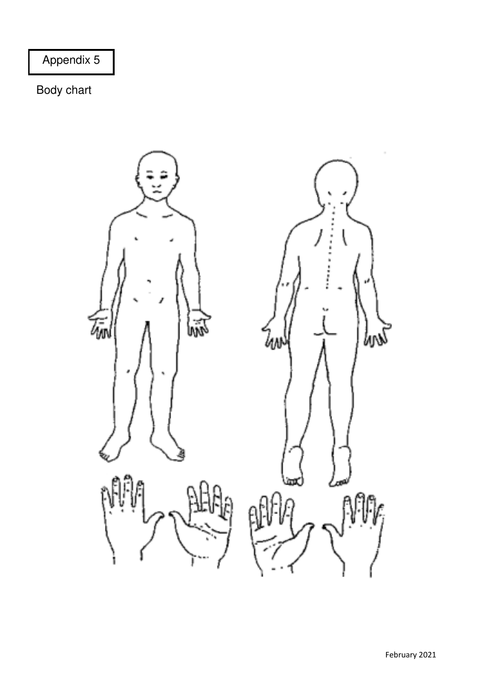Appendix 5

Body chart